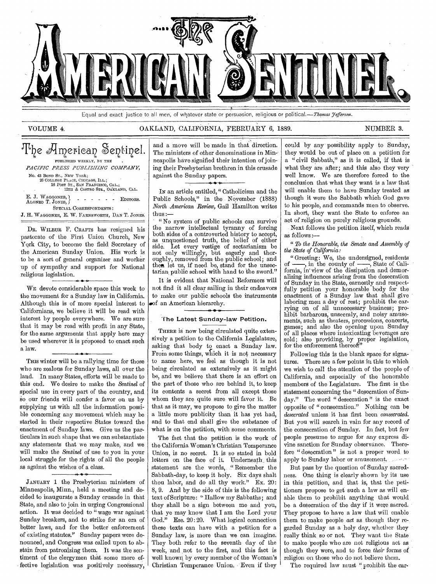

Equal and exact justice to all men, of whatever state or persuasion, religious or political.—Thomas Fefferson.

#### VOLUME 4. OAKLAND, CALIFORNIA, FEBRUARY 6, 1889. NUMBER 3.

# The American Sentinel. PUBLISHED WEEKLY, BY THE *PACIFIC PRESS PUBLISHING COMPANY,*  No. 43 BOND ST., NEW YORK; 26 COLLEGE PLACE, CHICAGO, ILL.;<br>18 POST ST., SAN FRANCISCO, CAL.;<br>12TH & CASTRO STS., OAKLAND, CAL. E. J. WAGGONER, ALONZO T. JONES, SPECIAL CORRESPONDENTS : J. H. WAGGONER, E. W. FARNSWORTH, DAN T. JONES. - - - - EDITORS.

DR. WILBUR F. CRAFTS has resigned his pastorate of the First Union Church, New York City, to become the field Secretary of the American Sunday Union. His work is to be a sort of general organizer and worker up of sympathy and support for National religious legislation. religious legislation.

WE devote considerable space this week to the movement for a Sunday law in California. Although this is of more special interest to Californians, we believe it will be read with interest by people everywhere. We are sure that it may be read with profit in any State, for the same arguments that apply here may be used wherever it is proposed to enact such a law. .<br>...

THIS winter will be a rallying time for those who are zealous for Sunday laws, all over the land. In many States, efforts will be made to this end. We desire to make the *Sentinel* of special use in every part of the country, and so our friends will confer a favor on us by supplying us with all the information possible concerning any movement which may be started in their respective States toward the enactment of Sunday laws. Give us the particulars in such shape that we can substantiate any statements that we may make, and we will make the *Sentinel* of use to you in your local struggle for the rights of all the people as against the wishes of a class.

JANUARY 1 the Presbyterian ministers of Minneapolis, Minn., held a meeting and decided to inaugurate a Sunday crusade in that State, and also to join in urging Congressional action. It was decided to "wage war against Sunday breakers, and to strike for an era of better laws, and for the better' enforcement of existing statutes." Sunday papers were denounced, and Congress was called upon to abstain from patronizing them. It was the sentiment of the clergymen that some more effective legislation was positively necessary,

**4.** 

and a move will be made in that direction. The ministers of other denominations in Minneapolis have signified their intention of joining their Presbyterian brethren in this crusade against the Sunday papers. **• l•** 

IN an article entitled," Catholicism and the Public Schools," in the Noyember (1888) *North American Review,* Gail Hamilton writes thus :—

" No system of public schools can survive the narrow intellectual tyranny of forcing both sides of a controverted history to accept, as unquestioned truth, the belief of either side. Let every vestige of sectarianism be not only willingly, but eagerly and thoroughly, removed from the public school; and then let us, if need be, stand for the unsectarian public school with hand to the sword."

It is evident that National Reformers will not find it all clear sailing in their endeavors to make our public schools the instruments .of an American hierarchy.

#### 'The Latest Sunday-law Petition.

THERE is now being circulated quite extensively a petition to the California Legislature, asking that body to enact a Sunday law. From some things, which it is not necessary to name here, we feel as though it is not being circulated as extensively as it might be, and we believe that there is an effort on the part of those who are behind it, to keep its contents a secret from all except those whom they are quite sure will favor it. Be that as it may, we propose to give the matter a little more publicity than it has yet had, and to that end shall give the substance of what is on the petition, with some comments.

The fact that the petition is the work of the California Woman's Christian Temperance Union, is no secret. It is so stated in bold letters on the face of it. Underneath this statement are the words, "Remember the Sabbath-day, to keep it holy. Six days shalt thou labor, and do all thy work." Ex. 20: 8, 9. And by the side of this is the following text of Scripture: " Hallow my Sabbaths; and they shall be a sign between me and you, that ye may know that I am the Lord your God." Eze. 20: 20. What logical connection these texts can have with a petition for a Sunday law, is more than we can imagine. They both refer to the seventh day of the week, and not to the first, and this fact is well known by every member of the Woman's Christian Temperance Union. Even if they

could by any-possibility apply to Sunday, they would be out of place on a petition for a " civil Sabbath," as it is called, if that is what they are after; and this also they very well know. We are therefore forced to the conclusion that what they want is a law that will enable them to have Sunday treated as though it were the Sabbath which God gave to his people, and commands men to observe. In short, they want the State to enforce an act of religion on purely religious grounds.

Next follows the petition itself, which reads as follows:—

" *To the Honorable, the Senate and Assembly of the State of California:* 

"Greeting: We, the undersigned, residents  $\frac{1}{1}$ , in the county of  $\frac{1}{1}$ , State of Caliof  $\frac{1}{\sqrt{1-\frac{1}{\sqrt{1-\frac{1}{\sqrt{1-\frac{1}{\sqrt{1-\frac{1}{\sqrt{1-\frac{1}{\sqrt{1-\frac{1}{\sqrt{1-\frac{1}{\sqrt{1-\frac{1}{\sqrt{1-\frac{1}{\sqrt{1-\frac{1}{\sqrt{1-\frac{1}{\sqrt{1-\frac{1}{\sqrt{1-\frac{1}{\sqrt{1-\frac{1}{\sqrt{1-\frac{1}{\sqrt{1-\frac{1}{\sqrt{1-\frac{1}{\sqrt{1-\frac{1}{\sqrt{1-\frac{1}{\sqrt{1-\frac{1}{\sqrt{1-\frac{1}{\sqrt{1-\frac{1}{\sqrt{1-\frac{1}{\sqrt{1-\frac$ fornia, in' view of the dissipation and demoralizing influences arising from the desecration of Sunday in the State, earnestly and respectfully petition your honorable body for the enactment of a Sunday law that shall give laboring men a day of rest; prohibit the carrying on of all unnecessary business; prohibit barbarous, unseemly, and noisy amusements, such as theaters, processions, concerts, games; and also the opening upon Sunday of all places where intoxicating beverages are sold; also providing, by proper legislation, for the enforcement thereof."

Following this is the blank space for signatures. There are a few points in this to which we wish to call the attention of the people of California, and especially of the honorable members of the Legislature. The first is the statement concerning the " desecration of Sunday." The word " desecration " is the exact opposite of " consecration." Nothing can be *desecrated* unless it has first been *consecrated.*  But you will search in vain for any record of the consecration of Sunday. In fact, but few people presume to argue for any express divine sanction for Sunday observance. Therefore " desecration " is not a proper word to apply to Sunday labor or amusement.

But pass by the question of Sunday sacredness. One thing is clearly shown by its use in this petition, and that is, that the petitioners propose to get such a law as will enable them to prohibit anything that would be a desecration of the day if it were sacred. They propose to have a law that will enable them to make people *act* as though they regarded Sunday as a holy day, whether they really think so or not. They want the State to make 'people who are not religious act as though they were, and to force, *their* forms of religion on those who do not believe them.

The required law must " prohibit the car-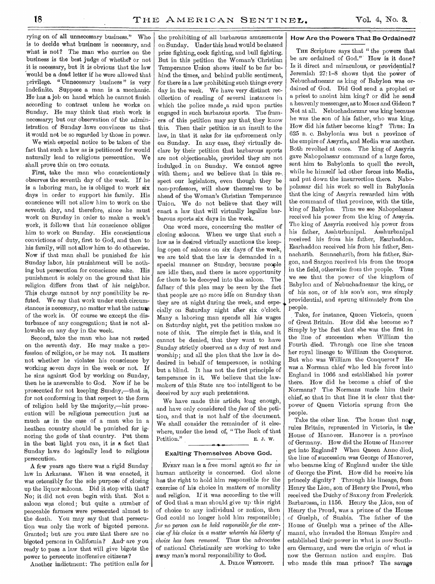rying on of all unnecessary business." Who is to decide what business is necessary, and what is not? The man who carries on the business is the best judge of whether or not it is necessary, but it is obvious that the law would be a dead letter if he were allowed that privilege. "Unnecessary business" is very indefinite. Suppose a man is a mechanic. He has a job on hand which he cannot finish according to contract unless he works on Sunday. He may think that such work is necessary; but our observation of the administration of Sunday laws convinces us that it would not be so regarded by those in power.

We wish especial notice to be taken of the fact that such a law as is petitioned for would naturally lead to religious persecution. We shall prove this on two counts.

First, take the man who conscientiously observes the seventh day of the week. If he is a laboring man, he is obliged to work six days in order to support his family. His conscience will not allow him to work on the seventh day, and therefore, since he must work on Sunday in order to make a week's work, it follows that his conscience obliges him to work on Sunday. His conscientious convictions of duty, first to God, and then to his family, will not allow him to do otherwise. Now if that man shall be punished for his Sunday labor, his punishment will be nothing but persecution for conscience sake. His punishment is solely on the ground that his religion differs from that of his neighbor. This charge cannot by any possibility be refuted. We say that work under such circumstances is necessary, no matter what the nature of the work is. Of course we except the disturbance of any congregation; that is not allowable on any day in the week.

Second, take the man who has not rested on the seventh day. He may make a profession of religion, or he may not. It matters not whether he violates his conscience by working seven days in the week or not. If he sins against God by working on Sunday, then he is answerable to God. Now if he be prosecuted for not keeping Sunday,—that is, for not conforming in that respect to the form of religion held by the majority,—his prosecution will be religious persecution just as much as in the case of a man who in a heathen country should be punished for ignoring the gods of that country. Put them in the best light you can, it is a fact that Sunday laws do logically lead to religious persecution.

A few years ago there was a rigid Sunday law in Arkansas. When it was enacted, it was ostensibly for the sole purpose of closing up the liquor saloons. Did it stop with that? No; it did not even begin with that. Not a saloon was closed; but quite a number of peaceable farmers were persecuted almost to the death. You may say that that persecution was only the work of bigoted persons. Granted; but are you sure that there are no bigoted persons in California? And- are you ready to pass a law that will give bigots the power to persecute inoffensive citizens ?

Another indictment: The petition calls for

the prohibiting of all barbarous amusements on Sunday. Under this head would be classed prize fighting, cock fighting, and bull fighting. But in this petition the Woman's Christian Temperance Union shows itself to be far behind the times, and behind public sentiment, for there is a law prohibiting such things every day in the week. We have very distinct recollection of reading of several instances in which the police made,a raid upon parties engaged in such barbarous sports. The framers of this petition may say that, they know this. Then their petition is an insult to the law, in that it asks for its enforcement only on Sunday. In any case, they virtually declare by their petition that barbarous sports are not objectionable, provided they are not indulged in on Sunday. We cannot agree with them;, and we believe that in this re-, spect our legislators, even though they be non-professors, will show themselves to be ahead of the Woman's Christian Temperance Union. We do not believe that they will enact a law that will virtually legalize barbarous sports six days in the week.

One word more, concerning the matter of closing saloons. When we urge that such a law as is desired virtually sanctions the keeping open of saloons on six days of the week, we are told that the law is demanded in a special manner on Sunday, because people are idle then, and there is more opportunity for them to be decoyed into the saloon. The fallacy of this plea may be seen by the fact that people are no more idle on Sunday than they are at night during the week, and especially on Saturday night after six o'clock. Many a laboring man spends all his wages on Saturday night, yet the petition makes no note of this. The simple fact is this, and it cannot be denied, that they want to have ,Sunday strictly observed as a day of rest and worship; and all the plea that the law is dedesired in behalf of temperance, is nothing but a blind. It has not the first principle of temperance in it. We believe that the lawmakers of this State are too intelligent to be deceived by any such pretensions.

We have made this article long enough, and have only considered the *face* of the petition, and that is not half of the document. We shall consider the remainder of it elsewhere, under the head of, " The Back of that Petition." E. J. W.

#### Exalting Themselves Above God.

EVERY man is a free moral agent so far as human authority is concerned. God alone has the right to hold him responsible for the exercise of his choice in matters of morality and religion. If it was according to the will of God that a man should give up this right of choice to any individual or nation, then God .could no longer hold him responsible ; *for no person can be held responsible for the exercise of his choice in a matter wherein his liberty of choice has been removed.* Thus the advocates of national Christianity are working to take away man's moral responsibility to God.

A. DELOS WESTCOTT.

#### How Are the Powers That Be Ordained?

THE Scripture says that " the powers that be are ordained of God."' How is it done? Is it direct and miraculous, or providential? Jeremiah 27:1-8 shows that the power of Nebuchadnezzar as king of Babylon was ordained of God. Did God send a prophet or a priest to anoint him king? or did he send a heavenly messenger, as to Moses and Gideon ? Not at all. Nebuchadnezzar was king because he was the son of his father, who was king. How did his father become king? Thus: In 625 B. c. Babylonia was but a province of the empire of Assyria, and Media was another. Both revolted at once. The king of Assyria gave Nabopolassar command of a large force, sent him to Babylonia to quell the revolt, while he himself led other forces into Media, and put down the insurrection there. Nabopolassar did his work so well in Babylonia that the king of Assyria rewarded him with the command of that province, with the title, king of Babylon. Thus we see Nabopolassar received his power from the king of Assyria. The king of Assyria received his power from his father, Asshurbanipal. Asshurbanipal received his from his father, Esarhaddon. Esarhaddon received his from his father, Sennacharib. Sennacharib, from his father, Sargon, and Sargon received his from the troops in the field, otherwise from the people. Thus we see that the power of the kingdom of Babylon and of Nebuchadnezzar the king, or of his son, or of his son's son, was simply providential, and sprung ultimately from the people.

Take, for instance, Queen Victoria, queen of Great Britain. How did she become so ? Simply by the fact that she was the first in the line of succession when William the Fourth died. Through one line she traces her royal lineage to William the Conqueror. But who was William the Conqueror? He was a Norman chief who led his forces into England in 1066 and established his power there. How did he become a chief of the Normans? The Normans made him their chief, so that in that line it is clear that thepower of Queen Victoria sprung from the people.

Take the other line. The house that now. rules Britain, represented in Victoria, is the House of Hanover. Hanover is a province of Germany. How did the House of Hanover get into England? When Queen Anne died, the line of succession was George of Hanover, who became king of England under the title of George the First. How did he receive his princely dignity? Through his lineage, from Henry the Lion, son of Henry the Proud, who. received the Duchy of Saxony from Frederick. Barbarossa, in 1156. Henry the Lion, son of Henry the Proud, was a prince of the House of Guelph, of Suabia. The father of the House of Guelph was a prince of the Allemanni, who invaded the Roman Empire and established their power in what is now Southern Germany, and were the origin of what is now the German nation and empire. Butwho made this man prince? The savage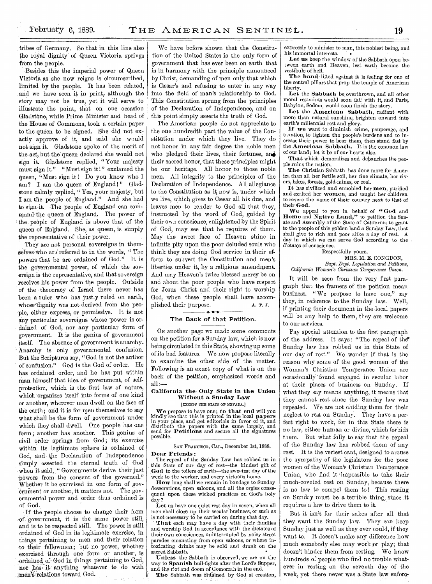tribes of Germany. So that in this line also the royal dignity of Queen Victoria springs

from the people. ,Besides this the imperial power of Queen Victoria as she now reigns is circumscribed, limited by the people. It has been related, and we have seen it in print, although the story may not be true, yet it will serve to illustrate the point, that on one occasion Gladstone, while Prime Minister and head of the House of Commons, took a certain paper to the queen to be signed. She did not exactly approve of it, and said she would not sign it. Gladstone spoke of the merit of the act, but the queen declared she would not sign it. Gladstone replied, "Your majesty must sign it." "Must sign it!" exclamed the queen, "Must sign it ! Do you know who I am? I am the queen of England!" Gladstone calmly replied, "Yes, your majesty, but I am the people of England." And she had to sign it. The people of England can command the queen of England. The power of the people of England is above that of the queen of England. She, as queen, is simply the representative of their power.

They are not personal sovereigns in themselves who ars referred to in the words, "The powers that be are ordained of God." It is the governmental power, of which the sovereign is the representative, and that sovereign receives his power from the people. Outside of the theocracy of Israel there never has been a ruler who has justly ruled on earth, whose dignity was not derived from the people, either express, or permissive. It is not any particular sovereigns whose 'power is ordained of God, nor any particular form of governinent. It is the genius of government itself. The absence of government is anarchy. Anarchy is only governmental confusion. But the Scriptures say, "God is not the author of confusion." God is the God of order. He has ordained order, and he has put within man himself that idea of government, of selfprotection, which is the first law of nature, which organizes itself into forms of one kind or another, wherever men dwell on the face of the earth; and it is for men themselves to say what shall be the form of government under which they shall dwell. One people has one form; another has another. This genius of civil order springs from God; its exercise within its legitimate sphere is ordained of God, and the Declaration of Independence simply asserted the eternal truth of God when it said, " Governments derive their just powers from the consent of the governed." Whether it be exercised in one form of government or another, it matters not. The governmental power and order thus ordained is of God.

If the people choose to change their form of ' government, it is the same power still, and is to be respected still. The power is still ordained of God in its legitimate exercise, in things pertaining to men and their relation to their fellowmen; but no power, whether exercised through one' form or another, is ordained of God in things pertaining to God, nor has it anything whatever to do with men's relations toward God.

We have before shown that the Constitution of the United States is the only form of government that has ever been on earth that is in harmony with the principle announced by Christ, demanding of men only that which is Cæsar's and refusing to enter in any way into the field of man's relationship to God. This Constitution sprung from the principles of the Declaration of Independence, and on this point simply asserts the truth of God.

The American people do not appreciate to the one hundredth part the value of the Constitution under which they live. They do not honor in any fair degree the noble men who pledged their lives, their fortunes, and their sacred honor, that these principles might be our heritage. All honor to those noble men. All integrity to the principles of the Declaration of Independence. All allegiance to the Constitution as it now is, under which we live, which gives to Cesar all his due, and leaves men to render to God all that they, instructed by the word of God, guided by their own conscience, enlightened by the Spirit of God, may see that he requires of them. May the sweet face of Heaven shine in infinite pity upon the poor deluded souls who think they are doing God service in their efforts to subvert the Constitution and men's liberties under it, by a religious amendment. And may Heaven's twice blessed mercy be on and about the poor people who have respect for Jesus Christ and their right to worship God, when these people shall have accomplished their purpose. A. T. J.

#### The Back of that Petition.

ON another page we made some comments on the petition for a Sunday law, which is now being circulated in this State, showingup some of its bad features. We now propose literally to examine the other side of the matter. Following is an exact copy of what is on the back of the petition, emphasized words and  $all :=$ 

#### California **the Only State in the Union Without a Sunday Law**

[EXCEPT THE STATE OF NEVADA.]

**We** propose to have one; **to that end** will you kindly see that this is printed in the local **papers**  in your place, and get editorials in favor of it, and distribute the papers with the same largely, and send for **Petitions** and secure all the signatures possible.

SAN FRANCISCO, CAL., December 1st, 1888.

#### **Dear Friends :**

The repeal of the Sunday Law has robbed us in this State of our day of rest--the kindest gift of God to the toilers of earth—the sweetest day of the week to the worker, and every virtuous home.

**How** long shall we remain in bondage to Sunday desecrations, open saloons, and all the orgies consequent upon these wicked practices on God's holy day ?

**Let** us have one quiet rest day in seven, when all men shall close up their secular business, or such as is not necessary to be carried on during that day.

That each may have a day with their families and worship God in accordance with the dictates of their own consciences, uninterrupted by noisy street parades emanating from open saloons, or where intoxicating drinks may be sold and drank on the sacred Sabbath.

**Unless** the Sabbath is observed, we are on the way to **Spanish** bull-fights after the Lord's Supper,

and the riot and doom of Gomorrah in the end. The Sabbath was ordained by God at creation, expressly to minister to man, this noblest being, and his immortal interests. •

**Let us** keep the window of the Sabbath open between earth and Heaven, lest earth become the vestibule of hell.

**The hand'** lifted against it is feeling for one of the central pillars that prop the temple of American liberty.

Let the Sabbath be overthrown, and all other moral restraints would soon fall with it, and Paris, Babylon, Sodom, would soon finish the story.

Let the American Sabbath, radiant with more than natural sunshine, brighten onward into earth's millennial rest and glory.

**If we** want to diminish crime, pauperage, and taxation, to lighten the people's burdens and to increase their power to bear them, then stand fast by the **American Sabbath.** It is the common law of our land; let it be of our hearts also.

**That** which demoralizes and debauches the people ruins the nation.

**The** Christian Sabbath has done more for America than all her fertile soil, her fine climate, her rivers, lakes, forests, gold-mines, or coal.

**It** has civilized and ennobled her **men,** purified and exalted her **women,** and taught her children to revere the name of their country next to that of their **God.** 

**We** appeal to you in behalf of **" God** and **Home and Native Land,"** to petition the Senate and Assembly of the State of California to grant to the people of this golden land a Sunday Law, that shall give to rich and poor alike a day of rest. day in which we can serve God according to the dictates of conscience.

Respectfully yours, MRS. M. E. CONGDON, *Supt. Dept. Legislation and Petitions,* 

*California Woman's Christian Temperance Union.* 

It will be seen from the very first paragraph that the framers of the petition mean business. " We propose to have one," say they, in reference to the Sunday law. Well, if printing their document in the local papers will be any help to them, they are welcome to our services.

Pay special attention to the first paragraph of the address. It says: "The repeal of the Sunday law has robbed us in this State of our day of rest." We wonder if that is the reason why some of the good women of the Woman's Christian Temperance Union are occasionally found engaged in secular labor at their places of business on Sunday. If what they say means anything, it means that they cannot rest since the Sunday law was repealed. 'We are not chiding them for their neglect to rest on Sunday. They have **a** perfect right to work, for in this State there is no law, either human or divine, which forbids them. But what folly to say that the repeal of the Sunday law has robbed them of any rest. It is the veriest cant, designed to arouse the sympathy of the legislators for the poor women of the Woman's Christian Temperance Union, who find it 'impossible to take their much-coveted rest on Sunday, because there is no law to compel them to! This resting on Sunday must be **a** terrible thing, since it requires a law to drive them to it.

But it isn't for their sakes after all that they want the Sunday law. They can keep Sunday just as well as they ever could, if they want to. It doesn't make any difference how much somebody else may work or play; that doesn't hinder them from resting. We know hundreds of people who find no trouble whatever in resting on the seventh day of the week, yet there never was a State law enforc-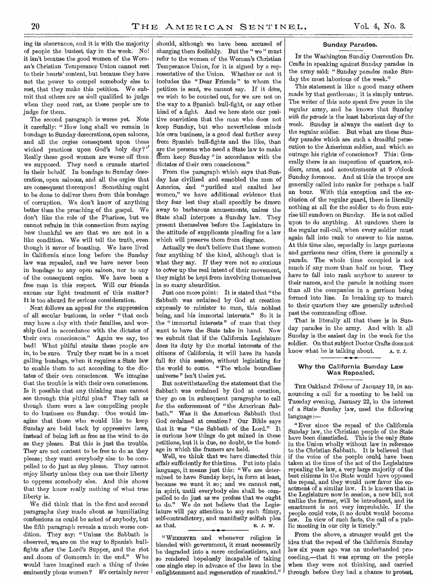ing its observance, and it is with the majority of people the busiest, day in the week. No! it isn't because the good women of the Woman's Christian Temperance Union cannot rest to their hearts' content, but because they,have not the power to compel somebody else to rest, that they make this petition. We submit that others are as well qualified to judge when they need rest, as these people are to judge for them.

The second paragraph is worse yet. Note it carefully: " How long shall we remain in bondage to Sunday desecrations, open saloons, and all the orgies consequent upon these wicked practices upon God's holy day?" Really these good women are worse off than we supposed. They need a crusade started in their behalf. In bondage to Sunday desecration, open saloons, and all the orgies that are consequent thereupon! Something ought to be done to deliver them from this bondageof corruption. We don't know of anything better than the preaching of the gospel. We don't like the role of the Pharisee, but we cannot refrain in-this connection from saying how thankful we are that we are not in a like condition. We will tell the truth, even though it savor of boasting. We have lived in California since long before the Sunday law was repealed, and we have never been in bondage to any open saloon, nor to any of the consequent orgies. We have been a free man in this respect. Will our friends excuse our light treatment of this matter? It is too absurd for serious consideration.

Next follows an appeal for the suppression of all secular business, in order "that each may have a day with their families, and worship God in accordance with the dictates of their own consciences." Again we say, too bad! What pitiful straits these people are in, to be sure. Truly they must be in a most galling bondage, when it requires a State law to enable them. to act according to the dictates of their own consciences. We imagine that the trouble is with their own consciences. Is it possible that any thinking man cannot see through this pitiful plea? They talk as though there were a law compelling people to do business on Sunday. One would imagine that those who would like to keep Sunday are held back by oppressive laws, instead of being left as free as the wind to do as they please. But this is just the trouble. They are not content to be free to do as they please; they want everybody else to be compelled to do just as *they* please. They cannot enjoy liberty unless they can use their liberty to oppress somebody else. And this shows that they know really nothing of what true liberty is.

We did think that in the first and second paragraphs they made about as humiliating confessions as could be asked of anybody, but the fifth paragraph reveals a much worse condition. They say: "Unless the Sabbath is observed, we are on the way to Spanish bullfights after the Lord's Supper, and the riot and doom of Gomorrah in the end." Who would have imagined such a thing of those eminently pious women ? *We* certainly never

should, although we have been accused of charging them foolishly. But the " we " must refer to the women of the Woman's Christian Temperance Union, for it is signed by a representative of the Union. Whether or not it includes the " Dear Friends " to whom the petition is sent, we cannot say. If it does, we wish to be counted out, for we are not on the way to a Spanish bull-fight, or any other kind of a fight. And we here state our positive conviction that the man who does not keep Sunday, but who nevertheless minds his own business, is a good deal farther away from Spanish bull-fights and the like, than are the persons who need a State law to make them keep Sunday "in accordance with the dictates of their own consciences."

From the paragraph which says that Sunday has civilized and ennobled the men of America, and "purified and exalted her women," we have additional evidence that they fear lest they shall speedily be drawn away to barbarous amusements, unless the State shall interpose a Sunday law. They, present themselves before the Legislature in the attitude of supplicants pleading for a law which will preserve them from disgrace.

Actually we don't believe that these women fear anything bf the kind, although that is what they say. If they were not so anxious to cover up the real intent of their movement, they might be kept from involving themselves in so many absurdities.

Just one more point: It is stated that "the Sabbath was ordained by God at creation expressly to minister to man, this noblest being, and his immortal interests." So it is the "immortal interests" of man that they want to have the State take in hand. Now we submit that if the California Legislature does its duty by the mortal interests of the citizens of California, it will have its hands full for this session, without legislating for the world to come. "The whole boundless universe" isn't theirs yet.

But notwithstanding the statement that the Sabbath was ordained by God at creation, they go on in subsequent paragraphs to call for the enforcement of "the American Sabbath." Was it the American Sabbath that God ordained at creation? Our Bible says that it was " the Sabbath of the Lord." It is curious how things do get mixed in these petitions, but it is due, no doubt, to the bondage in which the framers are held.

Well, we think that we have dissected this affair sufficiently for this time. Put into plain language, it means just this: "We are determined to have Sunday kept, in form at least, because we want it so; and we cannot rest, in spirit, until everybody else shall be compelled to do just as we profess that we ought to do." We do not believe that the Legislature will pay attention to any such flimsy, self-contradictory, and manifestly selfish plea as that. E. J. W. • 4,-

" WHEREVER and whenever religion is blended with government, it must necessarily be -degraded into a mere ecclesiasticism, and so rendered hopelessly incapable of taking one single step in advance of the laws in the enlightenment and regeneration of mankind."

#### Sunday Parades.

IN the Washington Sunday Convention Dr. Crafts in speaking against Sunday parades in the army said: " Sunday parades make Sunday the most laborious of the week."

This statement is like a good many others made by that gentleman; it is simply untrue. The writer of this note spent five years in the regular army, and he knows that Sunday *with the parade* is the least laborious day of the week. Sunday is always the easiest day to . the regular soldier. But what are these Sunday parades which are such a dreadful persecution to the American soldier, and which so outrage his rights of conscience? This: Generally there is an inspection of quarters, soldiers, arms, and accoutrements at 9 o'clock Sunday forenoon. And at this the troops are generally called into ranks for perhaps a half an hour. With this exception and the exclusion of the regular guard, there is literally nothing at all for the soldier to do from sunrise till sundown on Sunday. He is not called upon to do anything. At sundown there is the regular roll-call, when every soldier must again fall into rank to answer to his name. At this time also, especially in large garrisons and garrisons near cities, there is generally a parade. The whole time occupied is not much if any more than half an hour. They have to fall into rank anyhow to answer to their names, and the parade is nothing more than all the companies in a garrison being formed into line. In breaking up to march to their quarters they are generally marched past the commanding officer.

That is literally all that there is in Sunday parades in the army. And with it all Sunday is the easiest day in the week for the soldier. On that subject Doctor Crafts does not know what he is talking about.  $A. T. J.$ 

#### Why the California Sunday Law Was Repealed.

THE Oakland *Tribune* of January 19, in announcing a call for a meeting to be held on Tuesday evening, January 22, in the interest of a State Sunday law, used the following language:—

" Ever since the repeal of the California Sunday law, the Christian people of the State have been dissatisfied. This is the only State in the Union wholly without law in reference to the Christian Sabbath. It is believed that if the voice of the people could, have been taken at the time of the act of the Legislature repealing the law, a very large majority of the best citizens in the State would have opposed the repeal, and they would now favor the enactment of a similar law. It is known that in the Legislature now in session, a new bill, not unlike the former, will be introduced, and its enactment is not very improbable. If the people could vote, it no doubt would become law. In view of such facts, the call of a public meeting in our city is timely."

From the above, a stranger would get the idea that the repeal of the California Sunday law six years ago was an underhanded proceeding,—that it was sprung on the people when they were not thinking, and carried through before they had a chance to protest.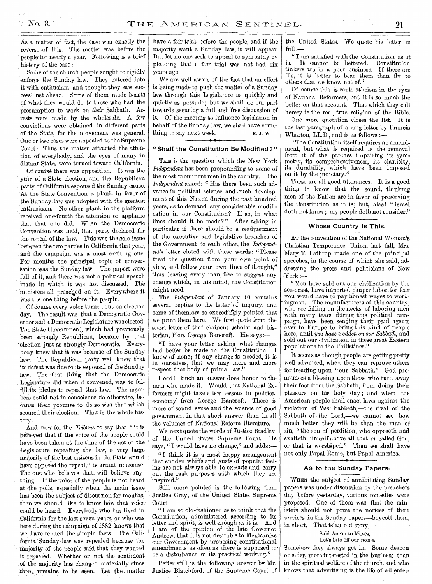As a matter of fact, the case was exactly the reverse of this. The matter was before the people for nearly a year. Following is a brief history of the case :—

Some of the church people sought to rigidly enforce the Sunday law. They entered into it with enthusiam, and thought they saw success ust ahead. Some of them made boasts of 'what they would do to those who had the presumption to work on *their* Sabbath. Arrests were made by the wholesale. A few convictions were obtained in different parts of the State, for the movement was general. One or two cases were appealed to the Supreme Court. Thus the matter attracted the attention of everybody, and the eyes of many in distant States were turned toward California.

Of course there was opposition. It was the year of a State election, and the Republican party of California espoused the Sunday cause. At the State Convention a plank in favor of the Sunday law was adopted with the greatest enthusiasm. No other plank in the platform received one-fourth the attention or applause that that one did. When the Democratic Convention was held, that party declared for the repeal of the law. This was the sole issue between the two parties in California that year, and the campaign was a most exciting one. For months the principal topic of conversation was the Sunday law. The papers were full of it, and there was not a political speech made in which it was not discussed. The ministers all preached on it. Everywhere it was the one thing before the people.

Of course every voter turned out on election day. The result was that a Democratic Governor and a Democratic Legislature was elected. The State Government, which had previously been strongly Republican, became by that 'election just as strongly Democratic. Everybody knew that it was because of the Sunday law.. The Republican party well knew that its defeat was due to its espousal of the Sunday law. The first thing that the Democratic Legislature did when it convened, was to fulfill its pledge to repeal that law. The members could not in conscience do otherwise, because their promise to do so was that which secured their election. That is the whole history.

And now for the *Tribune* to say that " it is believed that if the voice of the people could have been taken at the time of the act of the Legislature repealing the law, a very large majority of the best citizens in the State would have opposed the repeal," is arrant nonsense. The one who believes that, will believe anything. If the voice of the people is not heard at the polls, especially when the main issue has been the subject of discussion for months, then we should like to know how that voice could be heard. Everybody who has lived in California for the last seven years, or who was here during the campaign of 1882, knows that we have related the simple facts. The California "Sunday law was repealed because the majority of the people said that they wanted it repealed. Whether or not the sentiment of the majority has changed materially since then, remains to be seen. Let the matter have a fair trial before the people, and if the majority want a Sunday law, it will appear. But let no one seek to appeal to sympathy by pleading that a fair trial was not had six years ago.

We are well aware of the fact that an effort is being made to push the matter of a Sunday law through this Legislature as quickly and quietly as possible; but we shall do our part towards securing a full and free discussion of it. Of the meeting to influence legislation in behalf of the Sunday law, we shall have something to say next week. E. J. W.

#### **H • 1.**  "Shall the Constitution Be Modified?"

THIS is the question which the New York *Independent* has been propounding to some of the most prominent men in the country. The *Independent* asked: " Has there been such advance in political science and such development of this Nation during the past hundred years, as to demand any considerable modification in our Constitution? If so, in what lines should it be made? " After asking in particular if there should be a readjustment of the executive and legislative branches of the Government to each other, the *Independent's* letter closed with these words: " Please treat the question from your own point of view, and follow your own lines of thought," thus leaving every man free to suggest any change which, in his mind, the Constitution might need.

The *Independent* of January 10 contains several replies to the letter of inquiry, and some of them are so exceedingly pointed that we print them here. We first quote from the short letter of that eminent scholar and historian, Hon. George Bancroft. He says:-

"I have your letter asking what changes had better be made in the Constitution. I know of none; if any change is needed, it is in ourselves, that we may more and more respect that body of primal law."

Good! Such an answer does honor to the man who made it. Would that National Reformers might take a few lessons in political economy from George Bancroft. There is more of sound sense and the science of good government in that short answer than in all the volumes of National Reform literature.

We next quote the words of Justice Bradley, of the United States Supreme Court. He says, "I would have no change," and adds:-

" I think it is a most happy arrangement that sudden whiffs and gusts of popular feeling are not always able to execute and carry out the rash purposes with which they are inspired."

Still more pointed is the following from Justice Gray, of the United States Supreme Court:—

" I am so old-fashioned as to think that the Constitution, administered according to its letter and spirit, is well enough as it is. And I am of the opinion of the late Governor Andrew, that it is not desirable to Mexicanize our Government by proposing constitutional amendments as often as there is supposed tobe a disturbance in its practical working.'

Better still is the following answer by Mr. Justice Blatchford, of the Supreme Court of | knows that advertising is the life of all enter-

the United States. We quote his letter in  $full$ .

" I am satisfied with the Constitution as it is. It cannot be bettered. Constitution tinkers are in a poor business. If there are ills, it is better to bear them than fly to others that we know not of."

Of course this is rank atheism in the eyes of National Reformers, but it is so much the better on that account. That which they call heresy is the real, true religion of the Bible.

One more quotation closes the list. It is the last paragraph of a long letter by Francis. Wharton, LL.D., and is as follows :—

"The Constitution itself requires no amendment, but what is required is the removal, from it of the patches impairing its symmetry, its comprehensiveness, its elasticity, its durability, which have been imposed on it by the judiciary."

These are all good utterances. It is a good thing to know that the sound, thinking men of the Nation are in favor of preserving the Constitution as it is; but, alas! "Israel doth not know; my people doth not consider."

#### Whose Country Is This.

AT the convention of the National Woman's Christian Temperance Union, last fall, Mrs. Mary T. Lathrop made one of the principal speeches, in the course of which she said, addressing the press and politicians of New .York :—

"You have sold out our civilization by the sea-coast, have imported pauper labor, for fear you would have to pay honest wages to workingmen. The manufacturers of this country, who are falling on the necks of laboring men with many tears during this political campaign, have been sending their paid agents over to Europe to bring this kind of people here, until you *have trodden on our Sabbath,* and sold out our civilization in these great Eastern populations to the Philistines."

It seems as though people are getting pretty well advanced, when they can reprove others for treading upon "our Sabbath." God pronounces a blessing upon those who turn away their foot from the Sabbath, from doing their pleasure on his holy day; and when the American people shall enact laws against the violation of *their* Sabbath,—the rival of the Sabbath of the Lord,—we cannot see how much better they will be than the man of sin, " the son of perdition, who opposeth and exalteth himself above all that is called God, or that is worshiped." Then we shall have not only Papal Rome, but Papal America.

#### As to the Sunday Papers.

WHEN the subject of annihilating Sunday papers was under discussion by the preachers day before yesterday, various remedies were proposed. One of them was that the ministers should not print the notices of their services in the Sunday papers—boycott them, in short. That is an old story,—

> Said Aaron to Moses, Let's bite off our noses.

Somehow they always get in. Some deacon, or elder, more interested in the business than in the spiritual welfare of the church, and who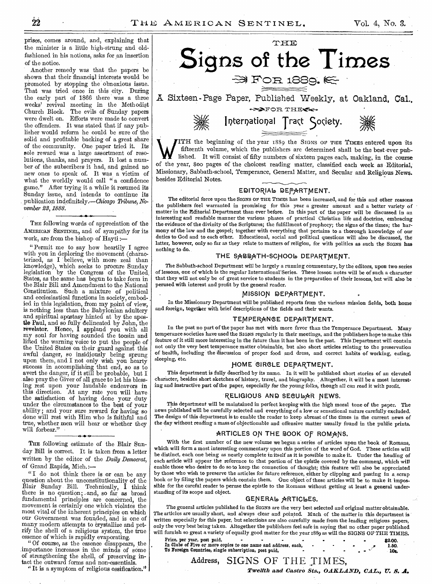prises, comes around, and, explaining that the minister is a little high-strung and oldfashioned in his notions, asks for an insertion of the notice.

Another remedy was that the papers be shown that their financial interests would be promoted by stopping the obnoxious issue. That was tried once in this city. During the early part of 1866 there was a three weeks' revival meeting in the Methodist Church Block. The evils of Sunday papers were dwelt on. Efforts were made to convert the offenders. It was stated that if any publisher would reform he could be sure of the solid and profitable backing of a great share of the community. One paper tried it. Its sole reward was a large assortment of resolutions, thanks, and prayers. It lost a number of the subscribers it had, and gained no new ones to speak of. It was a victim of what the worldly would call "a confidence game." After trying it a while it resumed its Sunday issue, and intends to continue its publication indefinitely.—Chicago *Tribune, November 23, 1888. •* 

THE following words of appreciation of the AMERICAN SENTINEL, and of sympathy for its work, are from the bishop of Hayti :—

" Permit me to say how heartily I agree with you in deploring the movement (characterized, as I believe, with more zeal than knowledge), which seeks to procure Sunday legislation by the Congress of the United. States, as the same has begun to take form in the Blair Bill and Amendment to the National Constitution. Such a mixture of political and ecclesiastical functions in society, embodied in this legislation, from my point of view, is nothing less than the Babylonian adultery and spiritual apostasy hinted at by the apostle Paul, and so fully delineated by John, the revelator. Hence, I applaud you with all my soul for having sounded the tocsin and lifted the warning voice to put the people of the United States on their guard against this awful danger, so insidiously being sprung upon them, and I not only wish you hearty success in accomplishing that end, so as to avert the danger, if it still be probable, but I also pray the Giver of all grace to let his blessing rest upon your laudable endeavors in this direction. At any rate you will have the satisfaction of having done your duty under the circumstances to the best of your ability; and your sure reward for having so done will rest with Him who is faithful and true, whether men will hear or whether they will forbear."

THE following estimate of the Blair Sunday Bill is correct. It is taken from a letter written by the editor of the *Daily Democrat,*  of Grand Rapids, Mich.:—

"I do not think there is or can be any question about the unconstitutionality of the Blair Sunday. Bill. Technically, I think there is no question; and, so far as broad fundamental principles are concerned, the movement is certainly one which violates the most vital of the inherent principles on which our Government was founded, and is one of many modern attempts to crystallize and petrify the shell of a religious system, the true essence of which is rapidly evaporating.

" Of course, as the essence disappears, the importance increases in the minds of some of strengthening the shell, of preserving intact the outward forms and non-essentials.

"It is a symptom of religious ossification."



 $\bf{W}$ fifteenth volume, which the publishers are determined shall be the best-ever published. It will consist of fifty numbers of sixteen pages each, making, in the course of the year, 800 pages of the choicest reading matter, classified each week as Editorial, Missionary, Sabbath-school, Temperance, General Matter, and Secular and Religious News. besides Editorial Notes.

#### EDITORIAL DEPARTMENT.

The editorial force upon the SIGNS OF THE TIMES has been increased, and for this and other reasons the publishers feel warranted in promising for this year a greater amount and a better variety of matter in the Editorial Department than ever before. In this part of the paper will be discussed in an interesting and readable manner the various phases of practical Christian life and doctrine, embracing the evidence of the divinity of the Scriptures; the fulfillment of prophecy; the signs of the times; the harmony of the law and the gospel; together with everything that pertains to a thorough knowledge of our duties to God and to each other. Educational, social and political questions will also be discussed, the latter, however, only so far as they relate to matters of religion, for with politics *as* such the *SIGNS* has nothing to do.

#### THE SABBATH-SCHOOL DEPARTMENT.

The Sabbath-school Department will be largely a running commentary, by the editors, upon two series of lessons, one of which is the regular International-Series. These lesson notes will be of such a character that they will not only be of great service to students in the preparation of their lessons, but will also be perused with interest and profit by the general reader.

#### MISSION DEPARTMENT.

In the Missionary Department will be published reports from the various mission fields, both home and foreign, together with brief descriptions of the fields and their wants.

#### TEMPERANCE DEPARTMENT.

In the past no part of the paper has met with more favor than the Temperance Department. Many temperance societies have used the SIGNS regularly in their meetings, and the publishers hope to make this feature of it still more interesting in the future than it has been in the past. This Department will contain not only the very best temperance matter obtainable, but also short articles relating to the preservation of health, including the discussion of proper food and dress, and correct habits of working, eating, sleeping, etc.

#### HOME CIRCLE DEPARTMENT.

This department is fully described by its name. In it will be published short stories of an elevated character, besides short sketches of history, travel, and biography. Altogether, it will be a most interesting and instructive part *of* the paper, especially for the *young* folks, though all can read it with profit.

## RELIGIOUS AND SECULAR NEWS.

This department will be maintained in perfect keeping with the high moral tone of the paper. The news published will be carefully selected and everything of a low or sensational nature carefully excluded. The design of this department is to enable the reader to keep abreast of the times in the current news of the day without reading a mass of objectionable and offensive matter usually found in the public prints.

#### ARTICLES ON THE BOOK OF ROMANS.

With the first number of the new volume we began a series of articles upon the book of Romans, which will form a most interesting commentary upon this portion of the word of God. These articles will be distinct, each one being as nearly complete in itself as it is possible to make it. Under the heading of each article will appear the reference to that portion of the epistle covered by the comment, which will enable those who desire to do so to keep the connection of thought; this feature will also be appreciated by those who wish to preserve the articles for future reference, either by clipping and pasting in a scrap book or by filing the papers which contain them. One object of these articles will be to make it impossible for the careful reader to peruse the epistle to the Romans without getting at least a general understanding of its scope and object.

#### GENERAL ARTICLES.

The general articles published in the SIGNS are the very best selected and original matter obtainable. The articles are usually short, and always clear and pointed. Much of the matter in this department is written especially for this paper, but selectiohs are also carefully made from the leading religious papers, only the very best being taken. Altogether the publishers feel safe in saying that no other paper published will furnish so great a variety of equally good matter for the year 1889 as will the SIGNS OF THE TIMES.

Price, per *year*, post paid,  $\frac{1}{2}$  and  $\frac{1}{2}$  and  $\frac{1}{2}$  and  $\frac{1}{2}$  and  $\frac{1}{2}$  and  $\frac{1}{2}$  and  $\frac{1}{2}$  and  $\frac{1}{2}$  and  $\frac{1}{2}$  and  $\frac{1}{2}$  and  $\frac{1}{2}$  and  $\frac{1}{2}$  and  $\frac{1}{2}$  and  $\frac{1}{2}$  To Foreign Countries, single subscription, post paid, 10s.

Address, SIGNS OF THE TIMES,

*Twelfth and Castro Sts., OAKLAND, CAL., U. S. A.*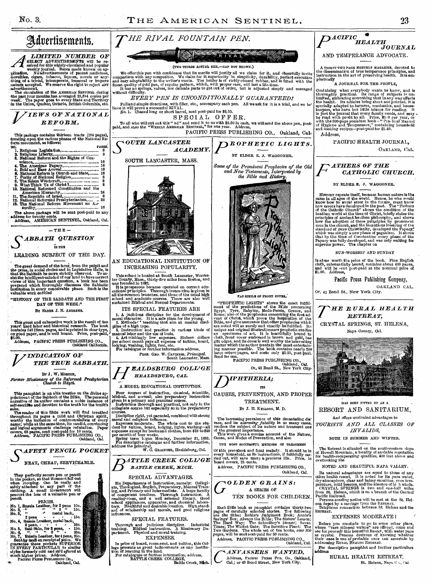mlication.

(Two THIRDS ACTUAL SIZE.—CAP NOT SHOWN.)

RIVAL

We offer this pen with confidence that its merits will justify all we claim for it, and cheerfully invite comparison with any competitor. We claim for it superiority in simplicity, durability, perfect execution and easy ad

*EVERY PEN IS UNCONDITIONALLY GUARANTEED!* 

*THE RIVAL FOUNTAIN PEN.* 



#### AND TEMPERANCE ADVOCATE.

A THIRTY-TWO PAGE MONTHLY MAGAZINE, devoted to the dissemination of true temperance principles, and instruction in the art of preserving health. It is emphatically

#### A JOURNAL FOR THE PEOPLE,

Containing what everybody wants to know, and is<br>thoroughly practical. Its range of subjects is un-<br>limited, embracing everything that in any way affects<br>the health. Its articles being short and pointed, it is<br>specially ad

Address,



# F *ATHERS OF THE CATHOLIC CHURCH.*

#### BY ELDER E. J. WAGGONER.

HISTORY repeats itself, because human nature is the same in all ages of the world. Hence, he who would know how to avoid error in the future, must know how errors have developed in the past. The "Fathers heathen world at t

#### SUN-WORSHIP AND SUNDAY

Is alone worth the price of the book. Fine English cloth, substantially bound, contains about 400 pages, and will be sent post-paid at the nominal price of \$1.00. Address,

Pacific Press Publishing Company,

OAKLAND CAL.

#### FAO SIMILE OF FRONT COVER.

"PROPHETIC LIGHTS" shows the exact fulfill-<br>ment of the Bredictions of the Bible concerning<br>Egypt, Tyre, Babylon, Medo-Persia, Greece, and<br>Egypt, Tyre, Babylon, Medo-Persia, Greece, and<br>vent of christ, which prove the imp

*ANVASSERS WANTED.*  Address, PACIFIC PRESS PUB. Co., Oakland, Cal,; or 43 Bond Street, New York City.

# MOL **Turk** XI. munt is E

#### HAS BEEN FITTED UP AS A RESORT AND SANITARIUM,

And offers unrivaled advantages to

*TOURISTS AND ALL CLASSES Oh' INVALIDS,* 

BOTH IN SUMMER AND WINTER.

The Retreat is situated on the southwestern slope<br>of Howell Mountain, a locality of enviable reputation<br>for health-recuperating qualities, 400 feet above and<br>overlooking the

NOTED AND BEAUTIFUL NAPA VALLEY.

Its natural advantages are equal to those of any<br>other health resort. It is noted for its nume water,<br>dyvatmosphere, clear and balmy sunshine, even tem-<br>perature, mild breezes, and the absence of bi h winds.<br>CRYSTAL SPBING

RETREAT.

#### EXPENSES MODERATE <sup>I</sup>

Before you conclude to go to some other place, where "rare mineral waters" are offered, come and see for yourself this beautiful Resort, with water pure as crystal. Persons desirous of knowing "whether their case is one of

For descriptive pamphlet and further particulars **address**  RURAL HEALTH RETREAT,

St. Helena, Napa C ... Cal.

Fulland simple directions, with filler, etc., accompany each pen. All we ask for it is a trial, and we be-lieve it will prove a successful RIVAL. No. 1. Chased long or short barrel, sent post-paid for \$2.50. SPECIAL OFFER. To all who will cut out this " ad" and send it to us with \$2.50 in cash, we will send the above pen, post-<br>paid, and ALSO the "WEEKLY AMERICAN SENTINEL," for one year. Address, PACIFIC PRESS PUBLISHING CO., Oakland, Cal, *OUTH LANCASTER ACADEMY.*  SOUTH LANCASTER, MASS. AN EDUCATIONAL INSTITUTION OF INCREASING POPULARITY. This school is located at South Lancaster, Worceston by, Mass., thirty-five miles from Boston, and<br>was founded in 1882,<br>it is prosperous because operated on correct educational principles.<br>They cational principles. Thoroug ITS SPECIAL FEATURES ARE PROF. GEO. W. CAVINESS, Principal. South Lancaster, *Mass. I I BALDSB URG COLL' GE HEALDHRTIRG, CAL.*  **BATTLE CREEK, MICH.** SPECIAL ADVANTAGES. **PROPHETIC LIGHTS.** BY ELDER E. J. WAGGONER. *Some of the Prominent Prophecies of the Old and New Testaments, Interpreted by the Bible and History.*  • PACIFIC PRESS PUBLISHING CO., Oakland, Cal. Or, 43 Bond St., New York City. *DIPHTHERIA;*  ITS CAUSES, PREVENTION, AND PROPER TREATMENT. *By J.* H. KELLOGG, AL D. The increasing prevalence of this devastating disease, and its *atterning* fatality in so many cases, renders the subject of its nature and treament one of the greatest importance.<br>This work gives a concise account of the THE MOST SUCCESSFUL METHODS OF TREATMENT Of this prevalent and fatal malady. It should be in every household, as its instructions, if faithfully car-ried out, will save many a precious life. Price, in board covers, 25 cents. Address, PACIFIC PRESS PUBLISHING CO., Oakland, Cal. G*OLDEN GRAINS:*  A SERIES OF TEN BOOKS FOR CHILDREN.

SPECIAL FEATURES.

In price of board, room-rent, and tuition, this College presents as great inducements as any institution of learning in the land.<br>For catalogues or further information, address, For catalogues or further information, addre

C

The circulation of the AMERICAN SENTINEL during<br>the past four months,has: averaged 25,644 copies per<br>week. The paper goes to every State and Territory<br>in the Union, Quebec, Ontario, British Columbia, etc. *VIEWS OF NATIONAL REFORM.* 

Advertisements.

**A** SELECT ADVERTISEMENTS will be re-<br>
select of or this avidely-circulated and popular<br>
weekly journal. Rates made known on ap-

plication. Notadvertisements of patent medicines, movelties, cigars, tobacco, liquors, novels or anything, of a trivial, intemperate, immoral or impure mature accepted. We reserve the right to reject ANY advertisement.

This package contains thirteen tracts (184 pages), treating:upon.the various phases of the National Re- , dorm movement, *as* fellows:

No. PAGES.<br>
1. Religious Legislation, 8. Religious Liberty, 8. Religious Liberty, 8. (1996)<br>
2. Religious Liberty, 8. (1996)<br>
3. National Reform and the Rights of Conscience, : 16 e" Araerlean PaPaPY 16 b. ld'and Base AvoWal 16 0. National RefOrmis Church and State, 16 7. Piirlty .of National Religion, 8 8.The Wein Witchcraft, 8 9. What Think Ye of Christ ? 8 19. \_National Reformed Constitution and the Anieriiimi Hierarchy - 24 11, Theatepublie, of,-, Israel, 8 12. National Reformed Presbyterianism,...' , 32 13. The National Reform MOvement an La-

: Surdity, , ,' 16 The,,above; package will be sent post-paid to any ..address for twenty cents. - - Address, AMERICAN SENTINEL, Oakland, Cal.



LEADING SUBJECT OF THE DAY.

The great demand of the hour, from the pulpit and<br>the press, in social dricks and in Logislative Halls, is<br>that the Sabisabit be more strictly observed. To as-<br>sist the intelligent-minded of our land to have correct<br>views

"HISTORY OF THE SABBATH AND THE FIRST DAY OF THE WEEK."

By ELDER J. N. ANDREWS.

This great and exhaustive work is the result of ten years' hard labor and historical research. The book contains 648 12mo. pages, and is well bound. Price, post-paid, \$2.00.

Address, PACIFIC PRESS PUBLISHING CO., Oakland California.

# *INDICATION OF V THE TRUE SABBATH.*

By J. W. MORTON,

*Former Missionary of the Reformed Presbyterian Chwreh to Hayti.* 

This pamphlet is an able treatise on the divine appointment of the Sabbath of the moral paramity of its author contains a noble instance of selt-sacrifice and devotion to the truth for the truth's ake.<br>
selt-sacrifice and





EXPENSES.

Or, 43 Bond St., New York City. *THE RURAL HEALTH RETREAT,*